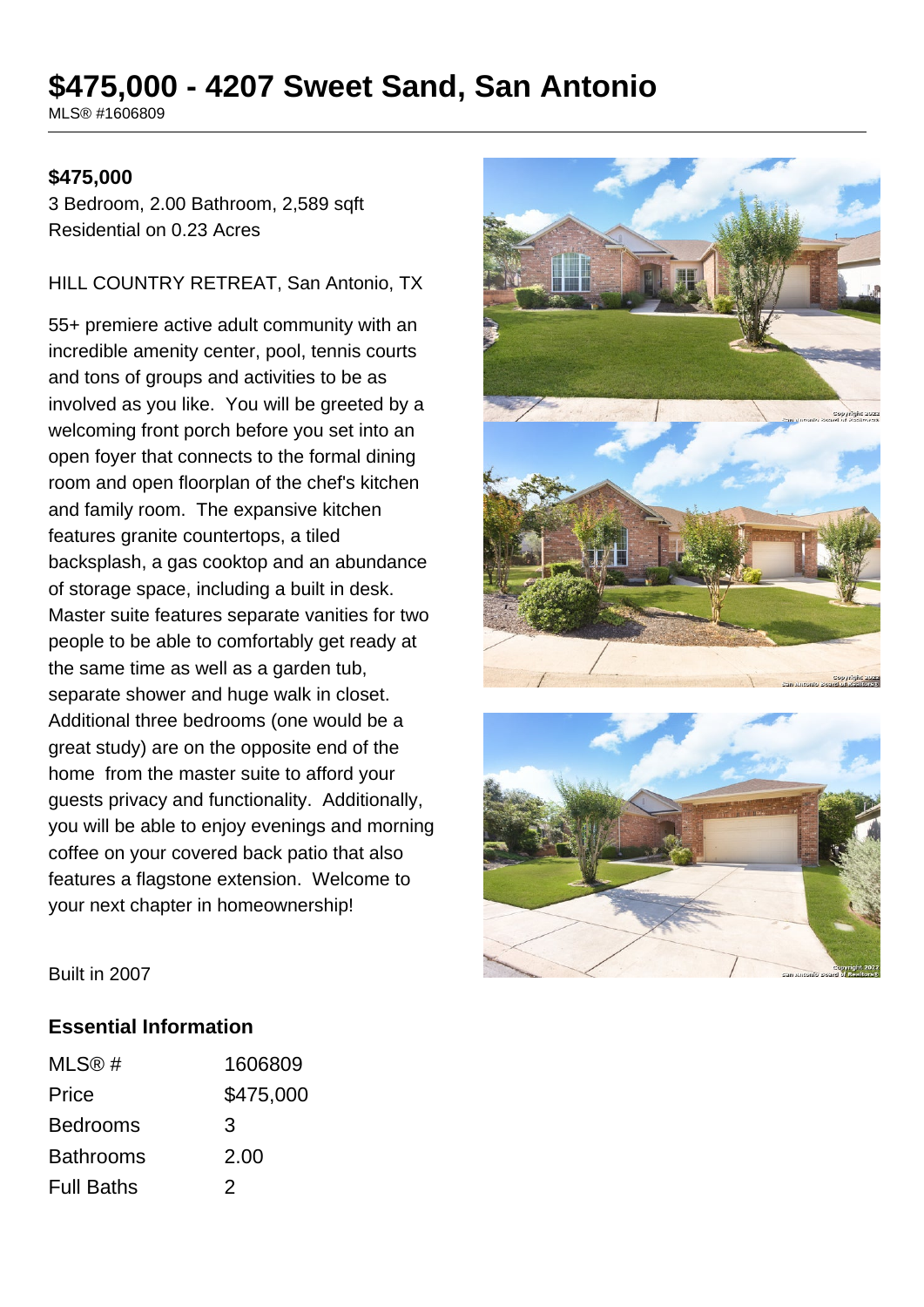# **\$475,000 - 4207 Sweet Sand, San Antonio**

MLS® #1606809

### **\$475,000**

3 Bedroom, 2.00 Bathroom, 2,589 sqft Residential on 0.23 Acres

HILL COUNTRY RETREAT, San Antonio, TX

55+ premiere active adult community with an incredible amenity center, pool, tennis courts and tons of groups and activities to be as involved as you like. You will be greeted by a welcoming front porch before you set into an open foyer that connects to the formal dining room and open floorplan of the chef's kitchen and family room. The expansive kitchen features granite countertops, a tiled backsplash, a gas cooktop and an abundance of storage space, including a built in desk. Master suite features separate vanities for two people to be able to comfortably get ready at the same time as well as a garden tub, separate shower and huge walk in closet. Additional three bedrooms (one would be a great study) are on the opposite end of the home from the master suite to afford your guests privacy and functionality. Additionally, you will be able to enjoy evenings and morning coffee on your covered back patio that also features a flagstone extension. Welcome to your next chapter in homeownership!





Built in 2007

### **Essential Information**

| MLS® #            | 1606809   |
|-------------------|-----------|
| Price             | \$475,000 |
| <b>Bedrooms</b>   | 3         |
| <b>Bathrooms</b>  | 2.00      |
| <b>Full Baths</b> | 2         |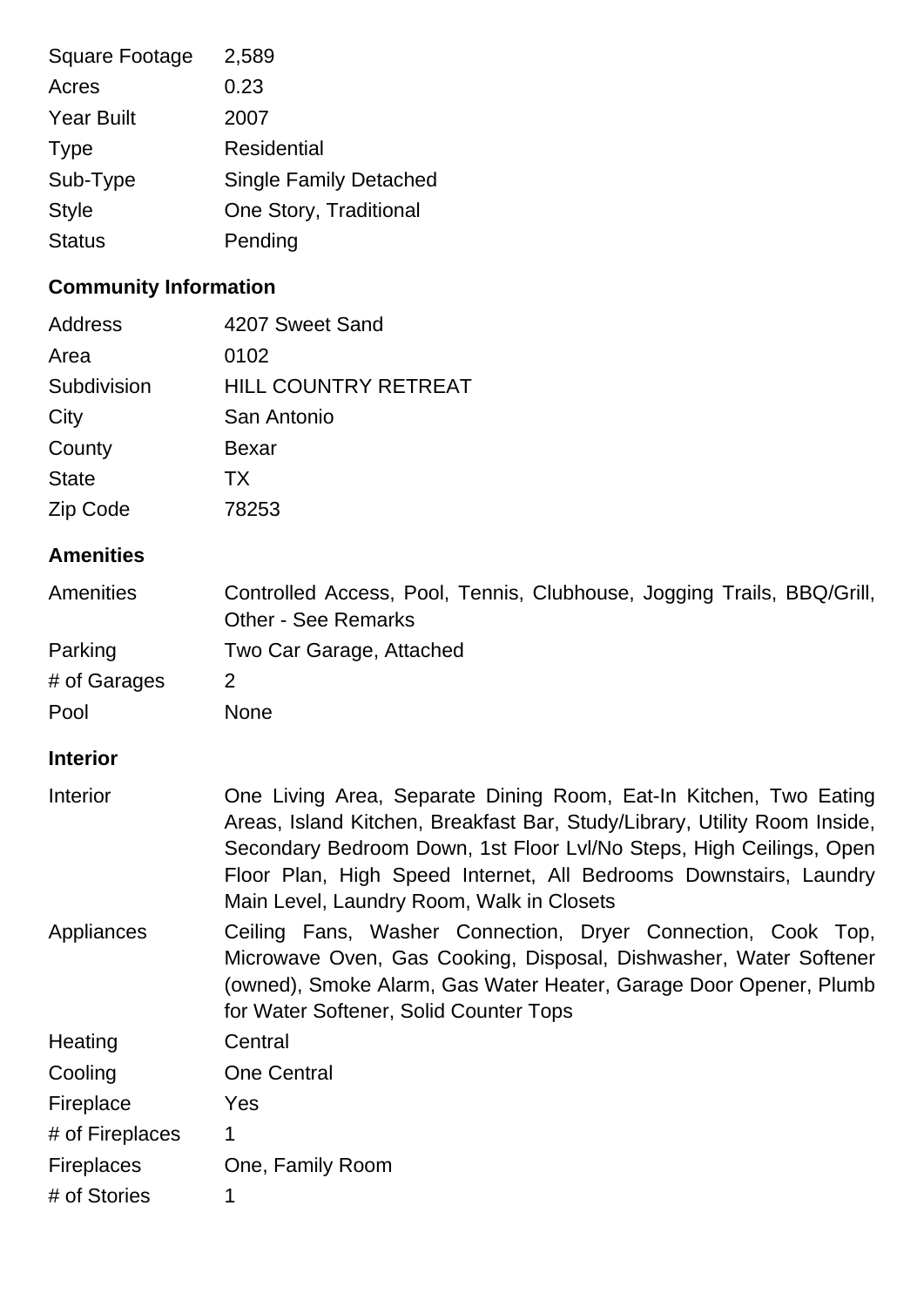| <b>Square Footage</b> | 2,589                         |
|-----------------------|-------------------------------|
| Acres                 | 0.23                          |
| <b>Year Built</b>     | 2007                          |
| <b>Type</b>           | <b>Residential</b>            |
| Sub-Type              | <b>Single Family Detached</b> |
| <b>Style</b>          | One Story, Traditional        |
| <b>Status</b>         | Pending                       |
|                       |                               |

## **Community Information**

| Address      | 4207 Sweet Sand             |
|--------------|-----------------------------|
| Area         | 0102                        |
| Subdivision  | <b>HILL COUNTRY RETREAT</b> |
| City         | San Antonio                 |
| County       | Bexar                       |
| <b>State</b> | TX.                         |
| Zip Code     | 78253                       |
|              |                             |

### **Amenities**

| Amenities         | Controlled Access, Pool, Tennis, Clubhouse, Jogging Trails, BBQ/Grill,<br><b>Other - See Remarks</b>                                                                                                                                                                                                                                    |
|-------------------|-----------------------------------------------------------------------------------------------------------------------------------------------------------------------------------------------------------------------------------------------------------------------------------------------------------------------------------------|
| Parking           | Two Car Garage, Attached                                                                                                                                                                                                                                                                                                                |
| # of Garages      | 2                                                                                                                                                                                                                                                                                                                                       |
| Pool              | <b>None</b>                                                                                                                                                                                                                                                                                                                             |
| <b>Interior</b>   |                                                                                                                                                                                                                                                                                                                                         |
| Interior          | One Living Area, Separate Dining Room, Eat-In Kitchen, Two Eating<br>Areas, Island Kitchen, Breakfast Bar, Study/Library, Utility Room Inside,<br>Secondary Bedroom Down, 1st Floor Lvl/No Steps, High Ceilings, Open<br>Floor Plan, High Speed Internet, All Bedrooms Downstairs, Laundry<br>Main Level, Laundry Room, Walk in Closets |
| Appliances        | Ceiling Fans, Washer Connection, Dryer Connection, Cook Top,<br>Microwave Oven, Gas Cooking, Disposal, Dishwasher, Water Softener<br>(owned), Smoke Alarm, Gas Water Heater, Garage Door Opener, Plumb<br>for Water Softener, Solid Counter Tops                                                                                        |
| Heating           | Central                                                                                                                                                                                                                                                                                                                                 |
| Cooling           | <b>One Central</b>                                                                                                                                                                                                                                                                                                                      |
| Fireplace         | Yes                                                                                                                                                                                                                                                                                                                                     |
| # of Fireplaces   | 1                                                                                                                                                                                                                                                                                                                                       |
| <b>Fireplaces</b> | One, Family Room                                                                                                                                                                                                                                                                                                                        |
| # of Stories      | 1                                                                                                                                                                                                                                                                                                                                       |